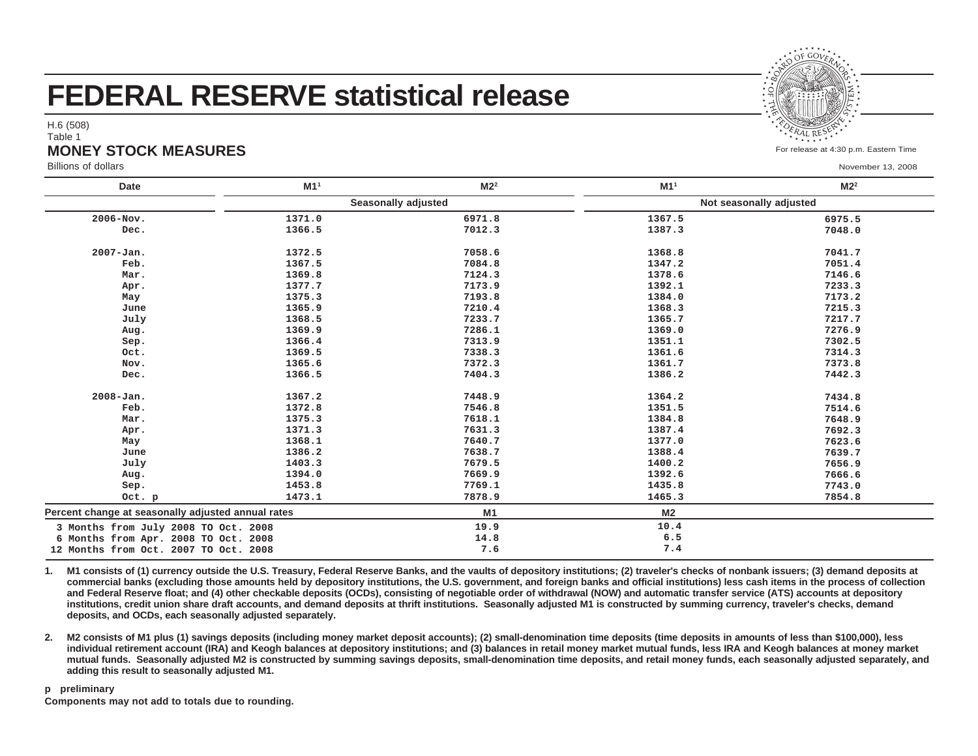# **FEDERAL RESERVE statistical release**

H.6 (508)

#### Table 1

## **MONEY STOCK MEASURES**

Billions of dollars

| <b>Date</b>                                        | M1 <sup>1</sup> | M2 <sup>2</sup>     | M1 <sup>1</sup> | M2 <sup>2</sup>         |
|----------------------------------------------------|-----------------|---------------------|-----------------|-------------------------|
|                                                    |                 | Seasonally adjusted |                 | Not seasonally adjusted |
| 2006-Nov.                                          | 1371.0          | 6971.8              | 1367.5          | 6975.5                  |
| Dec.                                               | 1366.5          | 7012.3              | 1387.3          | 7048.0                  |
| 2007-Jan.                                          | 1372.5          | 7058.6              | 1368.8          | 7041.7                  |
| Feb.                                               | 1367.5          | 7084.8              | 1347.2          | 7051.4                  |
| Mar.                                               | 1369.8          | 7124.3              | 1378.6          | 7146.6                  |
| Apr.                                               | 1377.7          | 7173.9              | 1392.1          | 7233.3                  |
| May                                                | 1375.3          | 7193.8              | 1384.0          | 7173.2                  |
| June                                               | 1365.9          | 7210.4              | 1368.3          | 7215.3                  |
| July                                               | 1368.5          | 7233.7              | 1365.7          | 7217.7                  |
| Aug.                                               | 1369.9          | 7286.1              | 1369.0          | 7276.9                  |
| Sep.                                               | 1366.4          | 7313.9              | 1351.1          | 7302.5                  |
| Oct.                                               | 1369.5          | 7338.3              | 1361.6          | 7314.3                  |
| Nov.                                               | 1365.6          | 7372.3              | 1361.7          | 7373.8                  |
| Dec.                                               | 1366.5          | 7404.3              | 1386.2          | 7442.3                  |
| $2008 - Jan.$                                      | 1367.2          | 7448.9              | 1364.2          | 7434.8                  |
| Feb.                                               | 1372.8          | 7546.8              | 1351.5          | 7514.6                  |
| Mar.                                               | 1375.3          | 7618.1              | 1384.8          | 7648.9                  |
| Apr.                                               | 1371.3          | 7631.3              | 1387.4          | 7692.3                  |
| May                                                | 1368.1          | 7640.7              | 1377.0          | 7623.6                  |
| June                                               | 1386.2          | 7638.7              | 1388.4          | 7639.7                  |
| July                                               | 1403.3          | 7679.5              | 1400.2          | 7656.9                  |
| Aug.                                               | 1394.0          | 7669.9              | 1392.6          | 7666.6                  |
| Sep.                                               | 1453.8          | 7769.1              | 1435.8          | 7743.0                  |
| Oct. p                                             | 1473.1          | 7878.9              | 1465.3          | 7854.8                  |
| Percent change at seasonally adjusted annual rates |                 | M <sub>1</sub>      | M <sub>2</sub>  |                         |
| 3 Months from July 2008 TO Oct. 2008               |                 | 19.9                | 10.4            |                         |
| 6 Months from Apr. 2008 TO Oct. 2008               |                 | 14.8                | 6.5             |                         |
| 12 Months from Oct. 2007 TO Oct. 2008              |                 | 7.6                 | 7.4             |                         |

**1.**M1 consists of (1) currency outside the U.S. Treasury, Federal Reserve Banks, and the vaults of depository institutions; (2) traveler's checks of nonbank issuers; (3) demand deposits at **commercial banks (excluding those amounts held by depository institutions, the U.S. government, and foreign banks and official institutions) less cash items in the process of collectionand Federal Reserve float; and (4) other checkable deposits (OCDs), consisting of negotiable order of withdrawal (NOW) and automatic transfer service (ATS) accounts at depositoryinstitutions, credit union share draft accounts, and demand deposits at thrift institutions. Seasonally adjusted M1 is constructed by summing currency, traveler's checks, demanddeposits, and OCDs, each seasonally adjusted separately.**

**2. M2 consists of M1 plus (1) savings deposits (including money market deposit accounts); (2) small-denomination time deposits (time deposits in amounts of less than \$100,000), less individual retirement account (IRA) and Keogh balances at depository institutions; and (3) balances in retail money market mutual funds, less IRA and Keogh balances at money market mutual funds. Seasonally adjusted M2 is constructed by summing savings deposits, small-denomination time deposits, and retail money funds, each seasonally adjusted separately, andadding this result to seasonally adjusted M1.**

#### **p preliminaryComponents may not add to totals due to rounding.**

For release at 4:30 p.m. Eastern Time

November 13, 2008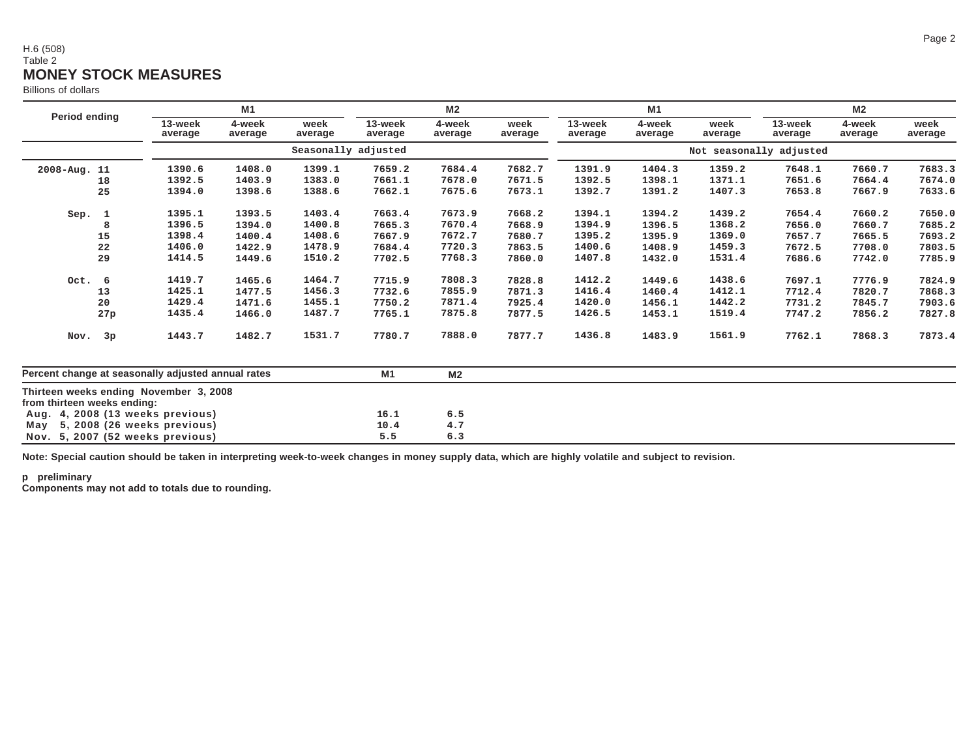### H.6 (508)Table 2 **MONEY STOCK MEASURES**

Billions of dollars

|                                                                       |                    | M1                  |                 |                    |                   |                 | M1                 |                   |                 | M <sub>2</sub>          |                   |                 |
|-----------------------------------------------------------------------|--------------------|---------------------|-----------------|--------------------|-------------------|-----------------|--------------------|-------------------|-----------------|-------------------------|-------------------|-----------------|
| Period ending                                                         | 13-week<br>average | 4-week<br>average   | week<br>average | 13-week<br>average | 4-week<br>average | week<br>average | 13-week<br>average | 4-week<br>average | week<br>average | 13-week<br>average      | 4-week<br>average | week<br>average |
|                                                                       |                    | Seasonally adjusted |                 |                    |                   |                 |                    |                   |                 | Not seasonally adjusted |                   |                 |
| 2008-Aug. 11                                                          | 1390.6             | 1408.0              | 1399.1          | 7659.2             | 7684.4            | 7682.7          | 1391.9             | 1404.3            | 1359.2          | 7648.1                  | 7660.7            | 7683.3          |
| 18                                                                    | 1392.5             | 1403.9              | 1383.0          | 7661.1             | 7678.0            | 7671.5          | 1392.5             | 1398.1            | 1371.1          | 7651.6                  | 7664.4            | 7674.0          |
| 25                                                                    | 1394.0             | 1398.6              | 1388.6          | 7662.1             | 7675.6            | 7673.1          | 1392.7             | 1391.2            | 1407.3          | 7653.8                  | 7667.9            | 7633.6          |
| Sep. 1                                                                | 1395.1             | 1393.5              | 1403.4          | 7663.4             | 7673.9            | 7668.2          | 1394.1             | 1394.2            | 1439.2          | 7654.4                  | 7660.2            | 7650.0          |
| 8                                                                     | 1396.5             | 1394.0              | 1400.8          | 7665.3             | 7670.4            | 7668.9          | 1394.9             | 1396.5            | 1368.2          | 7656.0                  | 7660.7            | 7685.2          |
| 15                                                                    | 1398.4             | 1400.4              | 1408.6          | 7667.9             | 7672.7            | 7680.7          | 1395.2             | 1395.9            | 1369.0          | 7657.7                  | 7665.5            | 7693.2          |
| 22                                                                    | 1406.0             | 1422.9              | 1478.9          | 7684.4             | 7720.3            | 7863.5          | 1400.6             | 1408.9            | 1459.3          | 7672.5                  | 7708.0            | 7803.5          |
| 29                                                                    | 1414.5             | 1449.6              | 1510.2          | 7702.5             | 7768.3            | 7860.0          | 1407.8             | 1432.0            | 1531.4          | 7686.6                  | 7742.0            | 7785.9          |
| Oct. 6                                                                | 1419.7             | 1465.6              | 1464.7          | 7715.9             | 7808.3            | 7828.8          | 1412.2             | 1449.6            | 1438.6          | 7697.1                  | 7776.9            | 7824.9          |
| 13                                                                    | 1425.1             | 1477.5              | 1456.3          | 7732.6             | 7855.9            | 7871.3          | 1416.4             | 1460.4            | 1412.1          | 7712.4                  | 7820.7            | 7868.3          |
| 20                                                                    | 1429.4             | 1471.6              | 1455.1          | 7750.2             | 7871.4            | 7925.4          | 1420.0             | 1456.1            | 1442.2          | 7731.2                  | 7845.7            | 7903.6          |
| 27p                                                                   | 1435.4             | 1466.0              | 1487.7          | 7765.1             | 7875.8            | 7877.5          | 1426.5             | 1453.1            | 1519.4          | 7747.2                  | 7856.2            | 7827.8          |
| Nov. 3p                                                               | 1443.7             | 1482.7              | 1531.7          | 7780.7             | 7888.0            | 7877.7          | 1436.8             | 1483.9            | 1561.9          | 7762.1                  | 7868.3            | 7873.4          |
| Percent change at seasonally adjusted annual rates                    |                    |                     | M1              | M <sub>2</sub>     |                   |                 |                    |                   |                 |                         |                   |                 |
| Thirteen weeks ending November 3, 2008<br>from thirteen weeks ending: |                    |                     |                 |                    |                   |                 |                    |                   |                 |                         |                   |                 |
| 4, 2008 (13 weeks previous)<br>Aug.                                   |                    |                     |                 | 16.1               | 6.5               |                 |                    |                   |                 |                         |                   |                 |
| 5, 2008 (26 weeks previous)<br>May                                    |                    |                     |                 | 10.4               | 4.7               |                 |                    |                   |                 |                         |                   |                 |
| Nov. 5, 2007 (52 weeks previous)                                      |                    |                     |                 | 5.5                | 6.3               |                 |                    |                   |                 |                         |                   |                 |

**Note: Special caution should be taken in interpreting week-to-week changes in money supply data, which are highly volatile and subject to revision.**

**p preliminary Components may not add to totals due to rounding.**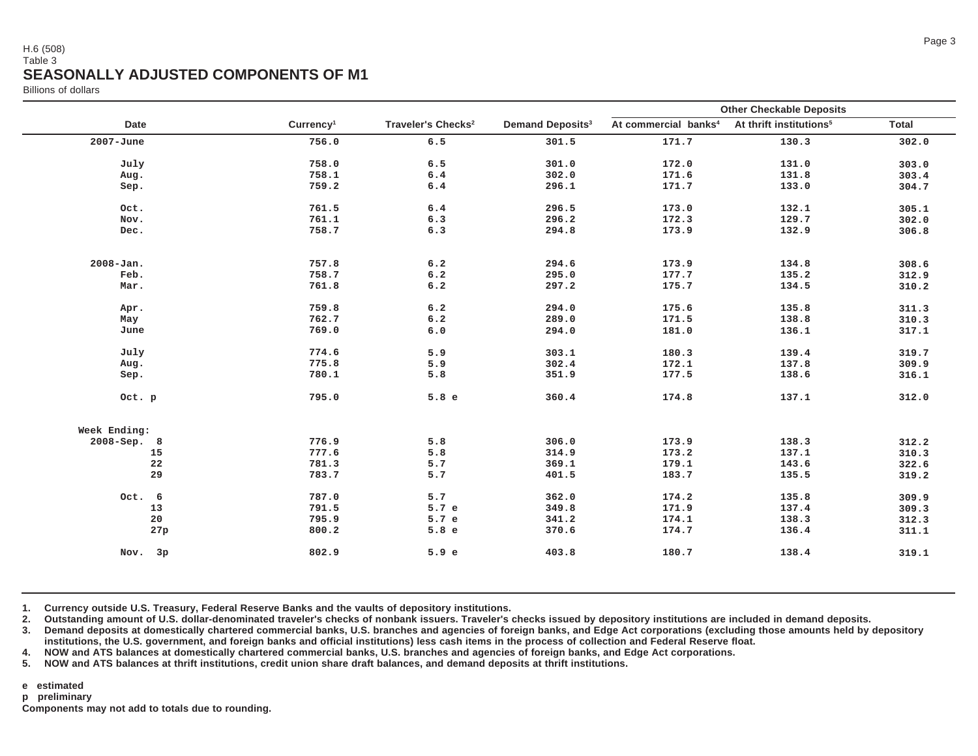#### H.6 (508)Table 3**SEASONALLY ADJUSTED COMPONENTS OF M1**

Billions of dollars

|               |                       |                                |                                    | <b>Other Checkable Deposits</b>  |                                     |              |
|---------------|-----------------------|--------------------------------|------------------------------------|----------------------------------|-------------------------------------|--------------|
| Date          | Currency <sup>1</sup> | Traveler's Checks <sup>2</sup> | <b>Demand Deposits<sup>3</sup></b> | At commercial banks <sup>4</sup> | At thrift institutions <sup>5</sup> | <b>Total</b> |
| $2007 - June$ | 756.0                 | 6.5                            | 301.5                              | 171.7                            | 130.3                               | 302.0        |
| July          | 758.0                 | 6.5                            | 301.0                              | 172.0                            | 131.0                               | 303.0        |
| Aug.          | 758.1                 | 6.4                            | 302.0                              | 171.6                            | 131.8                               | 303.4        |
| Sep.          | 759.2                 | $6.4$                          | 296.1                              | 171.7                            | 133.0                               | 304.7        |
|               |                       |                                |                                    |                                  |                                     |              |
| Oct.          | 761.5                 | $\,6\,.4$                      | 296.5                              | 173.0                            | 132.1                               | 305.1        |
| Nov.          | 761.1                 | 6.3                            | 296.2                              | 172.3                            | 129.7                               | 302.0        |
| Dec.          | 758.7                 | 6.3                            | 294.8                              | 173.9                            | 132.9                               | 306.8        |
| $2008 - Jan.$ | 757.8                 | 6.2                            | 294.6                              | 173.9                            | 134.8                               | 308.6        |
| Feb.          | 758.7                 | 6.2                            | 295.0                              | 177.7                            | 135.2                               | 312.9        |
| Mar.          | 761.8                 | 6.2                            | 297.2                              | 175.7                            | 134.5                               | 310.2        |
|               |                       |                                |                                    |                                  |                                     |              |
| Apr.          | 759.8                 | $\,6\,.2$                      | 294.0                              | 175.6                            | 135.8                               | 311.3        |
| May           | 762.7                 | 6.2                            | 289.0                              | 171.5                            | 138.8                               | 310.3        |
| June          | 769.0                 | 6.0                            | 294.0                              | 181.0                            | 136.1                               | 317.1        |
| July          | 774.6                 | 5.9                            | 303.1                              | 180.3                            | 139.4                               | 319.7        |
| Aug.          | 775.8                 | 5.9                            | 302.4                              | 172.1                            | 137.8                               | 309.9        |
| Sep.          | 780.1                 | 5.8                            | 351.9                              | 177.5                            | 138.6                               | 316.1        |
| Oct. p        | 795.0                 | 5.8e                           | 360.4                              | 174.8                            | 137.1                               | 312.0        |
| Week Ending:  |                       |                                |                                    |                                  |                                     |              |
| 2008-Sep. 8   | 776.9                 | 5.8                            | 306.0                              | 173.9                            | 138.3                               | 312.2        |
| 15            | 777.6                 | 5.8                            | 314.9                              | 173.2                            | 137.1                               | 310.3        |
| 22            | 781.3                 | 5.7                            | 369.1                              | 179.1                            | 143.6                               | 322.6        |
| 29            | 783.7                 | 5.7                            | 401.5                              | 183.7                            | 135.5                               | 319.2        |
| Oct. 6        | 787.0                 | 5.7                            | 362.0                              | 174.2                            | 135.8                               | 309.9        |
| 13            | 791.5                 | 5.7 e                          | 349.8                              | 171.9                            | 137.4                               | 309.3        |
| 20            | 795.9                 | 5.7 e                          | 341.2                              | 174.1                            | 138.3                               | 312.3        |
| 27p           | 800.2                 | 5.8e                           | 370.6                              | 174.7                            | 136.4                               | 311.1        |
| Nov. 3p       | 802.9                 | 5.9 e                          | 403.8                              | 180.7                            | 138.4                               | 319.1        |
|               |                       |                                |                                    |                                  |                                     |              |

**1. Currency outside U.S. Treasury, Federal Reserve Banks and the vaults of depository institutions.**

**2.Outstanding amount of U.S. dollar-denominated traveler's checks of nonbank issuers. Traveler's checks issued by depository institutions are included in demand deposits.**

**3. Demand deposits at domestically chartered commercial banks, U.S. branches and agencies of foreign banks, and Edge Act corporations (excluding those amounts held by depositoryinstitutions, the U.S. government, and foreign banks and official institutions) less cash items in the process of collection and Federal Reserve float.**

**4.NOW and ATS balances at domestically chartered commercial banks, U.S. branches and agencies of foreign banks, and Edge Act corporations.**

**5.NOW and ATS balances at thrift institutions, credit union share draft balances, and demand deposits at thrift institutions.**

**e estimated**

**p preliminary**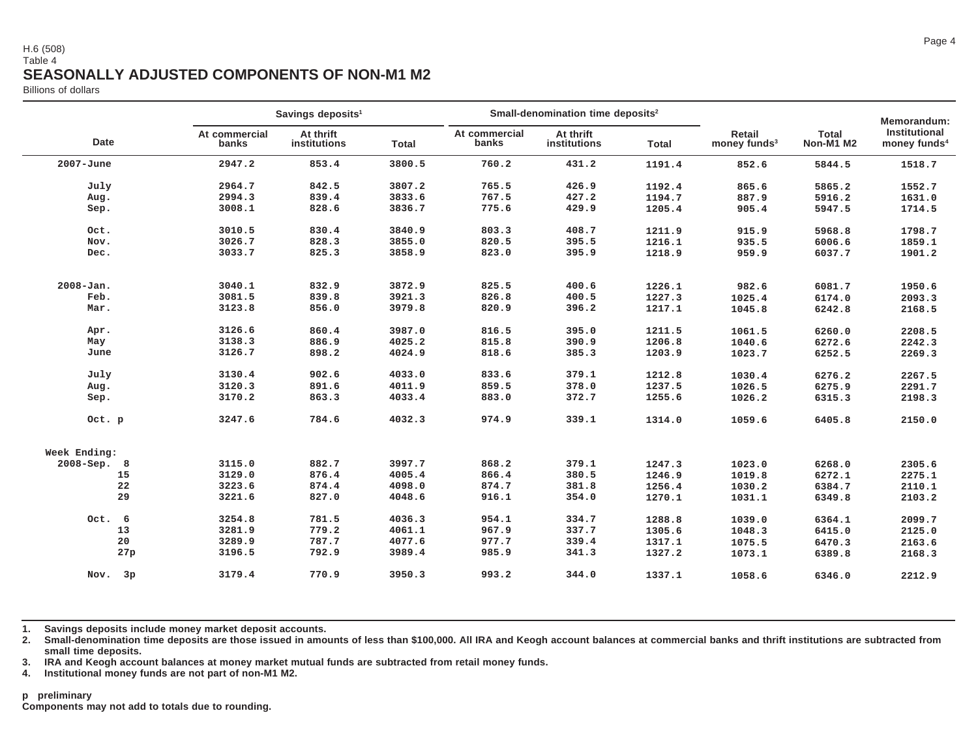#### H.6 (508)Table 4**SEASONALLY ADJUSTED COMPONENTS OF NON-M1 M2**

Billions of dollars

|                             |                        | Savings deposits <sup>1</sup> |        |                        | Small-denomination time deposits <sup>2</sup> |              |                                    |                           | Memorandum:                               |
|-----------------------------|------------------------|-------------------------------|--------|------------------------|-----------------------------------------------|--------------|------------------------------------|---------------------------|-------------------------------------------|
| Date                        | At commercial<br>banks | At thrift<br>institutions     | Total  | At commercial<br>banks | At thrift<br>institutions                     | <b>Total</b> | Retail<br>money funds <sup>3</sup> | <b>Total</b><br>Non-M1 M2 | Institutional<br>money funds <sup>4</sup> |
| $2007 - June$               | 2947.2                 | 853.4                         | 3800.5 | 760.2                  | 431.2                                         | 1191.4       | 852.6                              | 5844.5                    | 1518.7                                    |
| July                        | 2964.7                 | 842.5                         | 3807.2 | 765.5                  | 426.9                                         | 1192.4       | 865.6                              | 5865.2                    | 1552.7                                    |
| Aug.                        | 2994.3                 | 839.4                         | 3833.6 | 767.5                  | 427.2                                         | 1194.7       | 887.9                              | 5916.2                    | 1631.0                                    |
| Sep.                        | 3008.1                 | 828.6                         | 3836.7 | 775.6                  | 429.9                                         | 1205.4       | 905.4                              | 5947.5                    | 1714.5                                    |
| Oct.                        | 3010.5                 | 830.4                         | 3840.9 | 803.3                  | 408.7                                         | 1211.9       | 915.9                              | 5968.8                    | 1798.7                                    |
| Nov.                        | 3026.7                 | 828.3                         | 3855.0 | 820.5                  | 395.5                                         | 1216.1       | 935.5                              | 6006.6                    | 1859.1                                    |
| Dec.                        | 3033.7                 | 825.3                         | 3858.9 | 823.0                  | 395.9                                         | 1218.9       | 959.9                              | 6037.7                    | 1901.2                                    |
| $2008 - Jan.$               | 3040.1                 | 832.9                         | 3872.9 | 825.5                  | 400.6                                         | 1226.1       | 982.6                              | 6081.7                    | 1950.6                                    |
| Feb.                        | 3081.5                 | 839.8                         | 3921.3 | 826.8                  | 400.5                                         | 1227.3       | 1025.4                             | 6174.0                    | 2093.3                                    |
| Mar.                        | 3123.8                 | 856.0                         | 3979.8 | 820.9                  | 396.2                                         | 1217.1       | 1045.8                             | 6242.8                    | 2168.5                                    |
| Apr.                        | 3126.6                 | 860.4                         | 3987.0 | 816.5                  | 395.0                                         | 1211.5       | 1061.5                             | 6260.0                    | 2208.5                                    |
| May                         | 3138.3                 | 886.9                         | 4025.2 | 815.8                  | 390.9                                         | 1206.8       | 1040.6                             | 6272.6                    | 2242.3                                    |
| June                        | 3126.7                 | 898.2                         | 4024.9 | 818.6                  | 385.3                                         | 1203.9       | 1023.7                             | 6252.5                    | 2269.3                                    |
| July                        | 3130.4                 | 902.6                         | 4033.0 | 833.6                  | 379.1                                         | 1212.8       | 1030.4                             | 6276.2                    | 2267.5                                    |
| Aug.                        | 3120.3                 | 891.6                         | 4011.9 | 859.5                  | 378.0                                         | 1237.5       | 1026.5                             | 6275.9                    | 2291.7                                    |
| Sep.                        | 3170.2                 | 863.3                         | 4033.4 | 883.0                  | 372.7                                         | 1255.6       | 1026.2                             | 6315.3                    | 2198.3                                    |
| Oct. p                      | 3247.6                 | 784.6                         | 4032.3 | 974.9                  | 339.1                                         | 1314.0       | 1059.6                             | 6405.8                    | 2150.0                                    |
| Week Ending:                |                        |                               |        |                        |                                               |              |                                    |                           |                                           |
| $2008 - Sep.$<br>$_{\rm 8}$ | 3115.0                 | 882.7                         | 3997.7 | 868.2                  | 379.1                                         | 1247.3       | 1023.0                             | 6268.0                    | 2305.6                                    |
| 15                          | 3129.0                 | 876.4                         | 4005.4 | 866.4                  | 380.5                                         | 1246.9       | 1019.8                             | 6272.1                    | 2275.1                                    |
| 22                          | 3223.6                 | 874.4                         | 4098.0 | 874.7                  | 381.8                                         | 1256.4       | 1030.2                             | 6384.7                    | 2110.1                                    |
| 29                          | 3221.6                 | 827.0                         | 4048.6 | 916.1                  | 354.0                                         | 1270.1       | 1031.1                             | 6349.8                    | 2103.2                                    |
|                             |                        |                               |        |                        |                                               |              |                                    |                           |                                           |
| Oct. 6                      | 3254.8                 | 781.5                         | 4036.3 | 954.1                  | 334.7                                         | 1288.8       | 1039.0                             | 6364.1                    | 2099.7                                    |
| 13                          | 3281.9                 | 779.2                         | 4061.1 | 967.9                  | 337.7                                         | 1305.6       | 1048.3                             | 6415.0                    | 2125.0                                    |
| 20                          | 3289.9                 | 787.7                         | 4077.6 | 977.7                  | 339.4                                         | 1317.1       | 1075.5                             | 6470.3                    | 2163.6                                    |
| 27p                         | 3196.5                 | 792.9                         | 3989.4 | 985.9                  | 341.3                                         | 1327.2       | 1073.1                             | 6389.8                    | 2168.3                                    |
| Nov.<br>3p                  | 3179.4                 | 770.9                         | 3950.3 | 993.2                  | 344.0                                         | 1337.1       | 1058.6                             | 6346.0                    | 2212.9                                    |

**1. Savings deposits include money market deposit accounts.**

**2. Small-denomination time deposits are those issued in amounts of less than \$100,000. All IRA and Keogh account balances at commercial banks and thrift institutions are subtracted fromsmall time deposits.**

**3. IRA and Keogh account balances at money market mutual funds are subtracted from retail money funds.**

**4.Institutional money funds are not part of non-M1 M2.**

#### **p preliminary**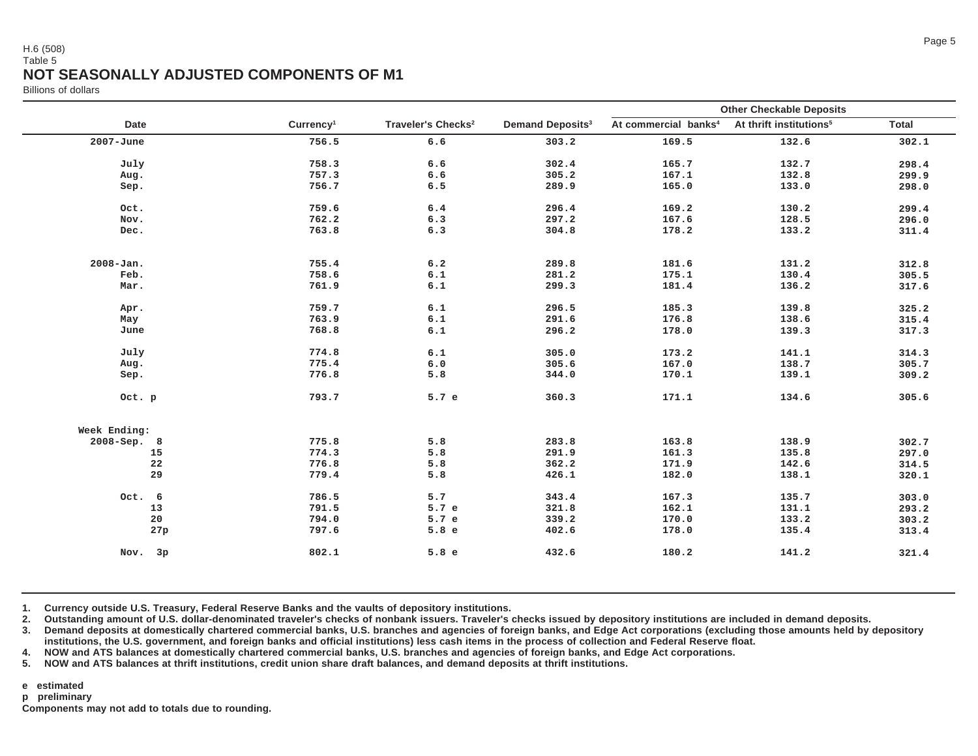#### H.6 (508)Table 5**NOT SEASONALLY ADJUSTED COMPONENTS OF M1**

Billions of dollars

|               |                       |                                |                                    | <b>Other Checkable Deposits</b>  |                                     |              |  |
|---------------|-----------------------|--------------------------------|------------------------------------|----------------------------------|-------------------------------------|--------------|--|
| <b>Date</b>   | Currency <sup>1</sup> | Traveler's Checks <sup>2</sup> | <b>Demand Deposits<sup>3</sup></b> | At commercial banks <sup>4</sup> | At thrift institutions <sup>5</sup> | <b>Total</b> |  |
| $2007 - June$ | 756.5                 | 6.6                            | 303.2                              | 169.5                            | 132.6                               | 302.1        |  |
| July          | 758.3                 | 6.6                            | 302.4                              | 165.7                            | 132.7                               | 298.4        |  |
| Aug.          | 757.3                 | 6.6                            | 305.2                              | 167.1                            | 132.8                               | 299.9        |  |
| Sep.          | 756.7                 | 6.5                            | 289.9                              | 165.0                            | 133.0                               | 298.0        |  |
|               |                       |                                |                                    |                                  |                                     |              |  |
| Oct.          | 759.6                 | $6.4$                          | 296.4                              | 169.2                            | 130.2                               | 299.4        |  |
| Nov.          | 762.2                 | 6.3                            | 297.2                              | 167.6                            | 128.5                               | 296.0        |  |
| Dec.          | 763.8                 | 6.3                            | 304.8                              | 178.2                            | 133.2                               | 311.4        |  |
|               | 755.4                 |                                | 289.8                              |                                  |                                     |              |  |
| $2008 - Jan.$ |                       | 6.2                            |                                    | 181.6                            | 131.2                               | 312.8        |  |
| Feb.          | 758.6                 | $6.1\,$                        | 281.2                              | 175.1                            | 130.4                               | 305.5        |  |
| Mar.          | 761.9                 | $6.1\,$                        | 299.3                              | 181.4                            | 136.2                               | 317.6        |  |
| Apr.          | 759.7                 | 6.1                            | 296.5                              | 185.3                            | 139.8                               | 325.2        |  |
| May           | 763.9                 | $6.1\,$                        | 291.6                              | 176.8                            | 138.6                               | 315.4        |  |
| June          | 768.8                 | $\,6\,.1$                      | 296.2                              | 178.0                            | 139.3                               | 317.3        |  |
|               |                       |                                |                                    |                                  |                                     |              |  |
| July          | 774.8                 | 6.1                            | 305.0                              | 173.2                            | 141.1                               | 314.3        |  |
| Aug.          | 775.4                 | $6.0$                          | 305.6                              | 167.0                            | 138.7                               | 305.7        |  |
| Sep.          | 776.8                 | 5.8                            | 344.0                              | 170.1                            | 139.1                               | 309.2        |  |
| Oct. p        | 793.7                 | 5.7 e                          | 360.3                              | 171.1                            | 134.6                               | 305.6        |  |
| Week Ending:  |                       |                                |                                    |                                  |                                     |              |  |
| 2008-Sep. 8   | 775.8                 | 5.8                            | 283.8                              | 163.8                            | 138.9                               | 302.7        |  |
| 15            | 774.3                 | 5.8                            | 291.9                              | 161.3                            | 135.8                               | 297.0        |  |
| 22            | 776.8                 | 5.8                            | 362.2                              | 171.9                            | 142.6                               | 314.5        |  |
| 29            | 779.4                 | 5.8                            | 426.1                              | 182.0                            | 138.1                               | 320.1        |  |
| Oct. 6        | 786.5                 | 5.7                            | 343.4                              | 167.3                            | 135.7                               | 303.0        |  |
| 13            | 791.5                 | 5.7 e                          | 321.8                              | 162.1                            | 131.1                               | 293.2        |  |
| 20            | 794.0                 | 5.7 e                          | 339.2                              | 170.0                            | 133.2                               | 303.2        |  |
| 27p           | 797.6                 | 5.8e                           | 402.6                              | 178.0                            | 135.4                               | 313.4        |  |
|               |                       |                                |                                    |                                  |                                     |              |  |
| 3p<br>Nov.    | 802.1                 | 5.8e                           | 432.6                              | 180.2                            | 141.2                               | 321.4        |  |
|               |                       |                                |                                    |                                  |                                     |              |  |

**1. Currency outside U.S. Treasury, Federal Reserve Banks and the vaults of depository institutions.**

**2.Outstanding amount of U.S. dollar-denominated traveler's checks of nonbank issuers. Traveler's checks issued by depository institutions are included in demand deposits.**

**3. Demand deposits at domestically chartered commercial banks, U.S. branches and agencies of foreign banks, and Edge Act corporations (excluding those amounts held by depositoryinstitutions, the U.S. government, and foreign banks and official institutions) less cash items in the process of collection and Federal Reserve float.**

**4.NOW and ATS balances at domestically chartered commercial banks, U.S. branches and agencies of foreign banks, and Edge Act corporations.**

**5.NOW and ATS balances at thrift institutions, credit union share draft balances, and demand deposits at thrift institutions.**

**e estimated**

**p preliminary**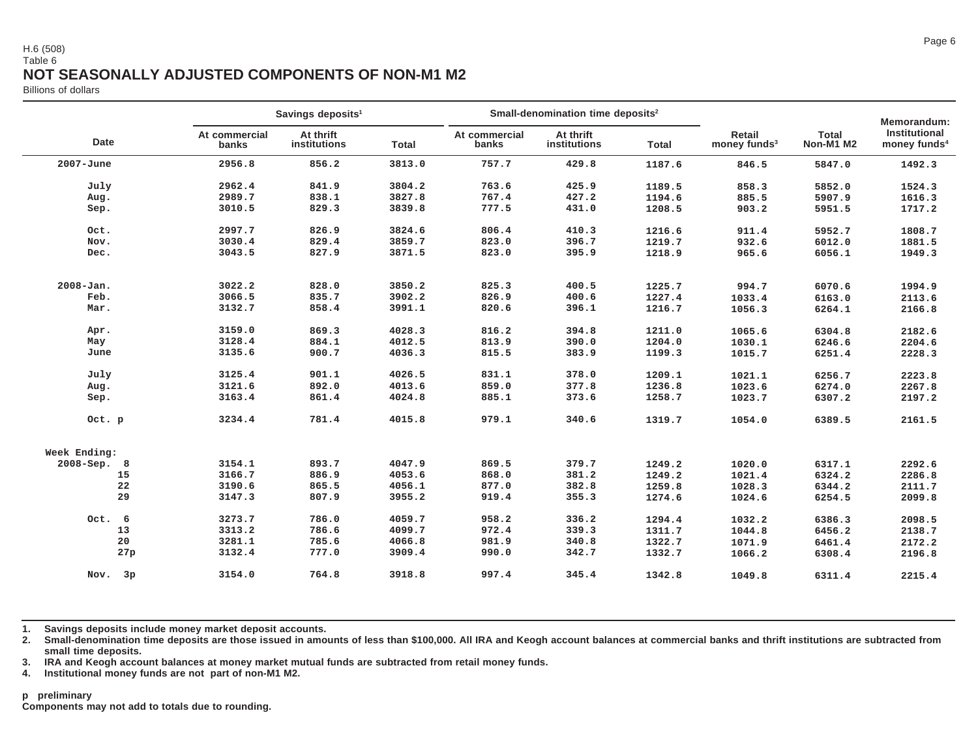### H.6 (508)Table 6**NOT SEASONALLY ADJUSTED COMPONENTS OF NON-M1 M2**

Billions of dollars

|              |                        | Savings deposits <sup>1</sup> |              |                        | Small-denomination time deposits <sup>2</sup> |        |                                           |                           | Memorandum:                                      |
|--------------|------------------------|-------------------------------|--------------|------------------------|-----------------------------------------------|--------|-------------------------------------------|---------------------------|--------------------------------------------------|
| <b>Date</b>  | At commercial<br>banks | At thrift<br>institutions     | <b>Total</b> | At commercial<br>banks | At thrift<br>institutions                     | Total  | <b>Retail</b><br>money funds <sup>3</sup> | <b>Total</b><br>Non-M1 M2 | <b>Institutional</b><br>money funds <sup>4</sup> |
| 2007-June    | 2956.8                 | 856.2                         | 3813.0       | 757.7                  | 429.8                                         | 1187.6 | 846.5                                     | 5847.0                    | 1492.3                                           |
| July         | 2962.4                 | 841.9                         | 3804.2       | 763.6                  | 425.9                                         | 1189.5 | 858.3                                     | 5852.0                    | 1524.3                                           |
| Aug.         | 2989.7                 | 838.1                         | 3827.8       | 767.4                  | 427.2                                         | 1194.6 | 885.5                                     | 5907.9                    | 1616.3                                           |
| Sep.         | 3010.5                 | 829.3                         | 3839.8       | 777.5                  | 431.0                                         | 1208.5 | 903.2                                     | 5951.5                    | 1717.2                                           |
| Oct.         | 2997.7                 | 826.9                         | 3824.6       | 806.4                  | 410.3                                         | 1216.6 | 911.4                                     | 5952.7                    | 1808.7                                           |
| Nov.         | 3030.4                 | 829.4                         | 3859.7       | 823.0                  | 396.7                                         | 1219.7 | 932.6                                     | 6012.0                    | 1881.5                                           |
| Dec.         | 3043.5                 | 827.9                         | 3871.5       | 823.0                  | 395.9                                         | 1218.9 | 965.6                                     | 6056.1                    | 1949.3                                           |
| 2008-Jan.    | 3022.2                 | 828.0                         | 3850.2       | 825.3                  | 400.5                                         | 1225.7 | 994.7                                     | 6070.6                    | 1994.9                                           |
| Feb.         | 3066.5                 | 835.7                         | 3902.2       | 826.9                  | 400.6                                         | 1227.4 | 1033.4                                    | 6163.0                    | 2113.6                                           |
| Mar.         | 3132.7                 | 858.4                         | 3991.1       | 820.6                  | 396.1                                         | 1216.7 | 1056.3                                    | 6264.1                    | 2166.8                                           |
| Apr.         | 3159.0                 | 869.3                         | 4028.3       | 816.2                  | 394.8                                         | 1211.0 | 1065.6                                    | 6304.8                    | 2182.6                                           |
| May          | 3128.4                 | 884.1                         | 4012.5       | 813.9                  | 390.0                                         | 1204.0 | 1030.1                                    | 6246.6                    | 2204.6                                           |
| June         | 3135.6                 | 900.7                         | 4036.3       | 815.5                  | 383.9                                         | 1199.3 | 1015.7                                    | 6251.4                    | 2228.3                                           |
| July         | 3125.4                 | 901.1                         | 4026.5       | 831.1                  | 378.0                                         | 1209.1 | 1021.1                                    | 6256.7                    | 2223.8                                           |
| Aug.         | 3121.6                 | 892.0                         | 4013.6       | 859.0                  | 377.8                                         | 1236.8 | 1023.6                                    | 6274.0                    | 2267.8                                           |
| Sep.         | 3163.4                 | 861.4                         | 4024.8       | 885.1                  | 373.6                                         | 1258.7 | 1023.7                                    | 6307.2                    | 2197.2                                           |
| Oct. p       | 3234.4                 | 781.4                         | 4015.8       | 979.1                  | 340.6                                         | 1319.7 | 1054.0                                    | 6389.5                    | 2161.5                                           |
| Week Ending: |                        |                               |              |                        |                                               |        |                                           |                           |                                                  |
| 2008-Sep. 8  | 3154.1                 | 893.7                         | 4047.9       | 869.5                  | 379.7                                         | 1249.2 | 1020.0                                    | 6317.1                    | 2292.6                                           |
| 15           | 3166.7                 | 886.9                         | 4053.6       | 868.0                  | 381.2                                         | 1249.2 | 1021.4                                    | 6324.2                    | 2286.8                                           |
| 22           | 3190.6                 | 865.5                         | 4056.1       | 877.0                  | 382.8                                         | 1259.8 | 1028.3                                    | 6344.2                    | 2111.7                                           |
| 29           | 3147.3                 | 807.9                         | 3955.2       | 919.4                  | 355.3                                         | 1274.6 | 1024.6                                    | 6254.5                    | 2099.8                                           |
| Oct. 6       | 3273.7                 | 786.0                         | 4059.7       | 958.2                  | 336.2                                         | 1294.4 | 1032.2                                    | 6386.3                    | 2098.5                                           |
| 13           | 3313.2                 | 786.6                         | 4099.7       | 972.4                  | 339.3                                         | 1311.7 | 1044.8                                    | 6456.2                    | 2138.7                                           |
| 20           | 3281.1                 | 785.6                         | 4066.8       | 981.9                  | 340.8                                         | 1322.7 | 1071.9                                    | 6461.4                    | 2172.2                                           |
| 27p          | 3132.4                 | 777.0                         | 3909.4       | 990.0                  | 342.7                                         | 1332.7 | 1066.2                                    | 6308.4                    | 2196.8                                           |
| 3p<br>Nov.   | 3154.0                 | 764.8                         | 3918.8       | 997.4                  | 345.4                                         | 1342.8 | 1049.8                                    | 6311.4                    | 2215.4                                           |

**1. Savings deposits include money market deposit accounts.**

**2. Small-denomination time deposits are those issued in amounts of less than \$100,000. All IRA and Keogh account balances at commercial banks and thrift institutions are subtracted fromsmall time deposits.**

**3. IRA and Keogh account balances at money market mutual funds are subtracted from retail money funds. 4. Institutional money funds are not part of non-M1 M2.**

#### **p preliminary**